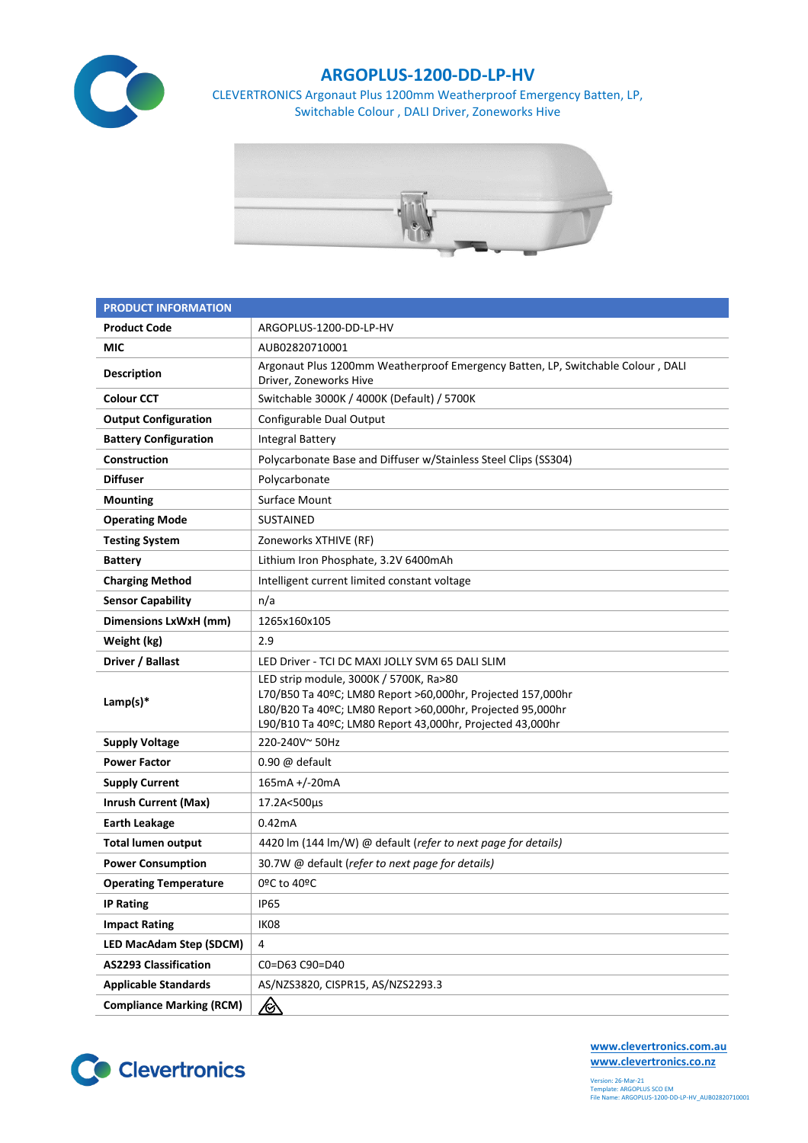

## **ARGOPLUS-1200-DD-LP-HV**

CLEVERTRONICS Argonaut Plus 1200mm Weatherproof Emergency Batten, LP, Switchable Colour , DALI Driver, Zoneworks Hive



| <b>Product Code</b><br>ARGOPLUS-1200-DD-LP-HV<br>AUB02820710001<br>MIC<br>Argonaut Plus 1200mm Weatherproof Emergency Batten, LP, Switchable Colour, DALI<br><b>Description</b><br>Driver, Zoneworks Hive<br>Switchable 3000K / 4000K (Default) / 5700K<br><b>Colour CCT</b><br><b>Output Configuration</b><br>Configurable Dual Output<br><b>Battery Configuration</b><br><b>Integral Battery</b><br>Construction<br>Polycarbonate Base and Diffuser w/Stainless Steel Clips (SS304)<br><b>Diffuser</b><br>Polycarbonate<br>Surface Mount<br>Mounting<br><b>Operating Mode</b><br><b>SUSTAINED</b><br><b>Testing System</b><br>Zoneworks XTHIVE (RF)<br>Lithium Iron Phosphate, 3.2V 6400mAh<br><b>Battery</b><br><b>Charging Method</b><br>Intelligent current limited constant voltage<br>n/a<br><b>Sensor Capability</b><br><b>Dimensions LxWxH (mm)</b><br>1265x160x105<br>2.9<br>Weight (kg)<br>Driver / Ballast<br>LED Driver - TCI DC MAXI JOLLY SVM 65 DALI SLIM<br>LED strip module, 3000K / 5700K, Ra>80<br>L70/B50 Ta 40ºC; LM80 Report >60,000hr, Projected 157,000hr<br>Lamp(s) $*$<br>L80/B20 Ta 40ºC; LM80 Report >60,000hr, Projected 95,000hr<br>L90/B10 Ta 40ºC; LM80 Report 43,000hr, Projected 43,000hr<br><b>Supply Voltage</b><br>220-240V~50Hz<br><b>Power Factor</b><br>$0.90 \varnothing$ default<br>165mA +/-20mA<br><b>Supply Current</b><br><b>Inrush Current (Max)</b><br>17.2A<500µs<br><b>Earth Leakage</b><br>0.42mA<br><b>Total lumen output</b><br>4420 lm (144 lm/W) @ default (refer to next page for details)<br><b>Power Consumption</b><br>30.7W @ default (refer to next page for details)<br><b>Operating Temperature</b><br>0ºC to 40ºC<br><b>IP65</b><br><b>IP Rating</b><br><b>Impact Rating</b><br>IK08<br>4<br><b>LED MacAdam Step (SDCM)</b><br><b>AS2293 Classification</b><br>C0=D63 C90=D40<br>AS/NZS3820, CISPR15, AS/NZS2293.3<br><b>Applicable Standards</b> | <b>PRODUCT INFORMATION</b>      |           |  |  |  |  |
|--------------------------------------------------------------------------------------------------------------------------------------------------------------------------------------------------------------------------------------------------------------------------------------------------------------------------------------------------------------------------------------------------------------------------------------------------------------------------------------------------------------------------------------------------------------------------------------------------------------------------------------------------------------------------------------------------------------------------------------------------------------------------------------------------------------------------------------------------------------------------------------------------------------------------------------------------------------------------------------------------------------------------------------------------------------------------------------------------------------------------------------------------------------------------------------------------------------------------------------------------------------------------------------------------------------------------------------------------------------------------------------------------------------------------------------------------------------------------------------------------------------------------------------------------------------------------------------------------------------------------------------------------------------------------------------------------------------------------------------------------------------------------------------------------------------------------------------------------------------------------------------------------------------------|---------------------------------|-----------|--|--|--|--|
|                                                                                                                                                                                                                                                                                                                                                                                                                                                                                                                                                                                                                                                                                                                                                                                                                                                                                                                                                                                                                                                                                                                                                                                                                                                                                                                                                                                                                                                                                                                                                                                                                                                                                                                                                                                                                                                                                                                    |                                 |           |  |  |  |  |
|                                                                                                                                                                                                                                                                                                                                                                                                                                                                                                                                                                                                                                                                                                                                                                                                                                                                                                                                                                                                                                                                                                                                                                                                                                                                                                                                                                                                                                                                                                                                                                                                                                                                                                                                                                                                                                                                                                                    |                                 |           |  |  |  |  |
|                                                                                                                                                                                                                                                                                                                                                                                                                                                                                                                                                                                                                                                                                                                                                                                                                                                                                                                                                                                                                                                                                                                                                                                                                                                                                                                                                                                                                                                                                                                                                                                                                                                                                                                                                                                                                                                                                                                    |                                 |           |  |  |  |  |
|                                                                                                                                                                                                                                                                                                                                                                                                                                                                                                                                                                                                                                                                                                                                                                                                                                                                                                                                                                                                                                                                                                                                                                                                                                                                                                                                                                                                                                                                                                                                                                                                                                                                                                                                                                                                                                                                                                                    |                                 |           |  |  |  |  |
|                                                                                                                                                                                                                                                                                                                                                                                                                                                                                                                                                                                                                                                                                                                                                                                                                                                                                                                                                                                                                                                                                                                                                                                                                                                                                                                                                                                                                                                                                                                                                                                                                                                                                                                                                                                                                                                                                                                    |                                 |           |  |  |  |  |
|                                                                                                                                                                                                                                                                                                                                                                                                                                                                                                                                                                                                                                                                                                                                                                                                                                                                                                                                                                                                                                                                                                                                                                                                                                                                                                                                                                                                                                                                                                                                                                                                                                                                                                                                                                                                                                                                                                                    |                                 |           |  |  |  |  |
|                                                                                                                                                                                                                                                                                                                                                                                                                                                                                                                                                                                                                                                                                                                                                                                                                                                                                                                                                                                                                                                                                                                                                                                                                                                                                                                                                                                                                                                                                                                                                                                                                                                                                                                                                                                                                                                                                                                    |                                 |           |  |  |  |  |
|                                                                                                                                                                                                                                                                                                                                                                                                                                                                                                                                                                                                                                                                                                                                                                                                                                                                                                                                                                                                                                                                                                                                                                                                                                                                                                                                                                                                                                                                                                                                                                                                                                                                                                                                                                                                                                                                                                                    |                                 |           |  |  |  |  |
|                                                                                                                                                                                                                                                                                                                                                                                                                                                                                                                                                                                                                                                                                                                                                                                                                                                                                                                                                                                                                                                                                                                                                                                                                                                                                                                                                                                                                                                                                                                                                                                                                                                                                                                                                                                                                                                                                                                    |                                 |           |  |  |  |  |
|                                                                                                                                                                                                                                                                                                                                                                                                                                                                                                                                                                                                                                                                                                                                                                                                                                                                                                                                                                                                                                                                                                                                                                                                                                                                                                                                                                                                                                                                                                                                                                                                                                                                                                                                                                                                                                                                                                                    |                                 |           |  |  |  |  |
|                                                                                                                                                                                                                                                                                                                                                                                                                                                                                                                                                                                                                                                                                                                                                                                                                                                                                                                                                                                                                                                                                                                                                                                                                                                                                                                                                                                                                                                                                                                                                                                                                                                                                                                                                                                                                                                                                                                    |                                 |           |  |  |  |  |
|                                                                                                                                                                                                                                                                                                                                                                                                                                                                                                                                                                                                                                                                                                                                                                                                                                                                                                                                                                                                                                                                                                                                                                                                                                                                                                                                                                                                                                                                                                                                                                                                                                                                                                                                                                                                                                                                                                                    |                                 |           |  |  |  |  |
|                                                                                                                                                                                                                                                                                                                                                                                                                                                                                                                                                                                                                                                                                                                                                                                                                                                                                                                                                                                                                                                                                                                                                                                                                                                                                                                                                                                                                                                                                                                                                                                                                                                                                                                                                                                                                                                                                                                    |                                 |           |  |  |  |  |
|                                                                                                                                                                                                                                                                                                                                                                                                                                                                                                                                                                                                                                                                                                                                                                                                                                                                                                                                                                                                                                                                                                                                                                                                                                                                                                                                                                                                                                                                                                                                                                                                                                                                                                                                                                                                                                                                                                                    |                                 |           |  |  |  |  |
|                                                                                                                                                                                                                                                                                                                                                                                                                                                                                                                                                                                                                                                                                                                                                                                                                                                                                                                                                                                                                                                                                                                                                                                                                                                                                                                                                                                                                                                                                                                                                                                                                                                                                                                                                                                                                                                                                                                    |                                 |           |  |  |  |  |
|                                                                                                                                                                                                                                                                                                                                                                                                                                                                                                                                                                                                                                                                                                                                                                                                                                                                                                                                                                                                                                                                                                                                                                                                                                                                                                                                                                                                                                                                                                                                                                                                                                                                                                                                                                                                                                                                                                                    |                                 |           |  |  |  |  |
|                                                                                                                                                                                                                                                                                                                                                                                                                                                                                                                                                                                                                                                                                                                                                                                                                                                                                                                                                                                                                                                                                                                                                                                                                                                                                                                                                                                                                                                                                                                                                                                                                                                                                                                                                                                                                                                                                                                    |                                 |           |  |  |  |  |
|                                                                                                                                                                                                                                                                                                                                                                                                                                                                                                                                                                                                                                                                                                                                                                                                                                                                                                                                                                                                                                                                                                                                                                                                                                                                                                                                                                                                                                                                                                                                                                                                                                                                                                                                                                                                                                                                                                                    |                                 |           |  |  |  |  |
|                                                                                                                                                                                                                                                                                                                                                                                                                                                                                                                                                                                                                                                                                                                                                                                                                                                                                                                                                                                                                                                                                                                                                                                                                                                                                                                                                                                                                                                                                                                                                                                                                                                                                                                                                                                                                                                                                                                    |                                 |           |  |  |  |  |
|                                                                                                                                                                                                                                                                                                                                                                                                                                                                                                                                                                                                                                                                                                                                                                                                                                                                                                                                                                                                                                                                                                                                                                                                                                                                                                                                                                                                                                                                                                                                                                                                                                                                                                                                                                                                                                                                                                                    |                                 |           |  |  |  |  |
|                                                                                                                                                                                                                                                                                                                                                                                                                                                                                                                                                                                                                                                                                                                                                                                                                                                                                                                                                                                                                                                                                                                                                                                                                                                                                                                                                                                                                                                                                                                                                                                                                                                                                                                                                                                                                                                                                                                    |                                 |           |  |  |  |  |
|                                                                                                                                                                                                                                                                                                                                                                                                                                                                                                                                                                                                                                                                                                                                                                                                                                                                                                                                                                                                                                                                                                                                                                                                                                                                                                                                                                                                                                                                                                                                                                                                                                                                                                                                                                                                                                                                                                                    |                                 |           |  |  |  |  |
|                                                                                                                                                                                                                                                                                                                                                                                                                                                                                                                                                                                                                                                                                                                                                                                                                                                                                                                                                                                                                                                                                                                                                                                                                                                                                                                                                                                                                                                                                                                                                                                                                                                                                                                                                                                                                                                                                                                    |                                 |           |  |  |  |  |
|                                                                                                                                                                                                                                                                                                                                                                                                                                                                                                                                                                                                                                                                                                                                                                                                                                                                                                                                                                                                                                                                                                                                                                                                                                                                                                                                                                                                                                                                                                                                                                                                                                                                                                                                                                                                                                                                                                                    |                                 |           |  |  |  |  |
|                                                                                                                                                                                                                                                                                                                                                                                                                                                                                                                                                                                                                                                                                                                                                                                                                                                                                                                                                                                                                                                                                                                                                                                                                                                                                                                                                                                                                                                                                                                                                                                                                                                                                                                                                                                                                                                                                                                    |                                 |           |  |  |  |  |
|                                                                                                                                                                                                                                                                                                                                                                                                                                                                                                                                                                                                                                                                                                                                                                                                                                                                                                                                                                                                                                                                                                                                                                                                                                                                                                                                                                                                                                                                                                                                                                                                                                                                                                                                                                                                                                                                                                                    |                                 |           |  |  |  |  |
|                                                                                                                                                                                                                                                                                                                                                                                                                                                                                                                                                                                                                                                                                                                                                                                                                                                                                                                                                                                                                                                                                                                                                                                                                                                                                                                                                                                                                                                                                                                                                                                                                                                                                                                                                                                                                                                                                                                    |                                 |           |  |  |  |  |
|                                                                                                                                                                                                                                                                                                                                                                                                                                                                                                                                                                                                                                                                                                                                                                                                                                                                                                                                                                                                                                                                                                                                                                                                                                                                                                                                                                                                                                                                                                                                                                                                                                                                                                                                                                                                                                                                                                                    |                                 |           |  |  |  |  |
|                                                                                                                                                                                                                                                                                                                                                                                                                                                                                                                                                                                                                                                                                                                                                                                                                                                                                                                                                                                                                                                                                                                                                                                                                                                                                                                                                                                                                                                                                                                                                                                                                                                                                                                                                                                                                                                                                                                    |                                 |           |  |  |  |  |
|                                                                                                                                                                                                                                                                                                                                                                                                                                                                                                                                                                                                                                                                                                                                                                                                                                                                                                                                                                                                                                                                                                                                                                                                                                                                                                                                                                                                                                                                                                                                                                                                                                                                                                                                                                                                                                                                                                                    |                                 |           |  |  |  |  |
|                                                                                                                                                                                                                                                                                                                                                                                                                                                                                                                                                                                                                                                                                                                                                                                                                                                                                                                                                                                                                                                                                                                                                                                                                                                                                                                                                                                                                                                                                                                                                                                                                                                                                                                                                                                                                                                                                                                    |                                 |           |  |  |  |  |
|                                                                                                                                                                                                                                                                                                                                                                                                                                                                                                                                                                                                                                                                                                                                                                                                                                                                                                                                                                                                                                                                                                                                                                                                                                                                                                                                                                                                                                                                                                                                                                                                                                                                                                                                                                                                                                                                                                                    | <b>Compliance Marking (RCM)</b> | <u>/公</u> |  |  |  |  |



**[www.clevertronics.com.au](http://www.clevertronics.com.au/) www.clevertronics.co.nz**

Version: 26-Mar-21 Template: ARGOPLUS SCO EM File Name: ARGOPLUS-1200-DD-LP-HV\_AUB02820710001